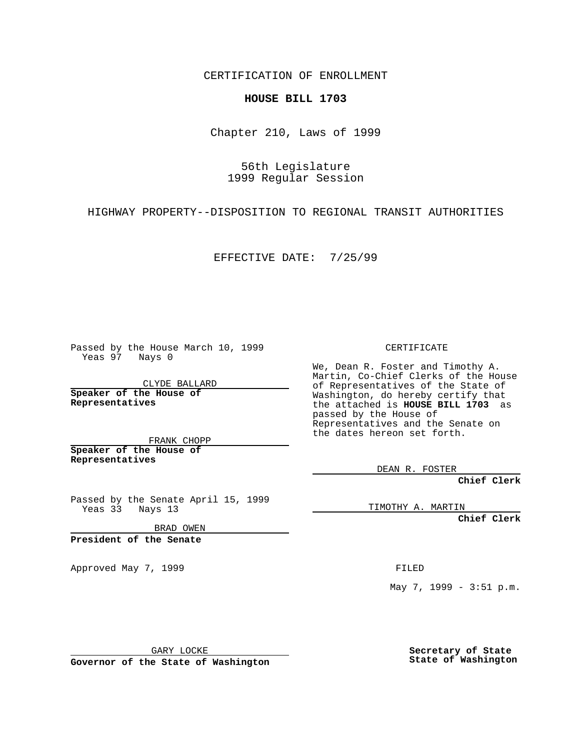CERTIFICATION OF ENROLLMENT

## **HOUSE BILL 1703**

Chapter 210, Laws of 1999

56th Legislature 1999 Regular Session

HIGHWAY PROPERTY--DISPOSITION TO REGIONAL TRANSIT AUTHORITIES

EFFECTIVE DATE: 7/25/99

Passed by the House March 10, 1999 Yeas 97 Nays 0

CLYDE BALLARD **Speaker of the House of Representatives**

FRANK CHOPP **Speaker of the House of Representatives**

Passed by the Senate April 15, 1999  $Yeas 33$  Nays 13

BRAD OWEN

**President of the Senate**

Approved May 7, 1999 **FILED** 

CERTIFICATE

We, Dean R. Foster and Timothy A. Martin, Co-Chief Clerks of the House of Representatives of the State of Washington, do hereby certify that the attached is **HOUSE BILL 1703** as passed by the House of Representatives and the Senate on the dates hereon set forth.

DEAN R. FOSTER

**Chief Clerk**

TIMOTHY A. MARTIN

**Chief Clerk**

May 7, 1999 - 3:51 p.m.

GARY LOCKE

**Governor of the State of Washington**

**Secretary of State State of Washington**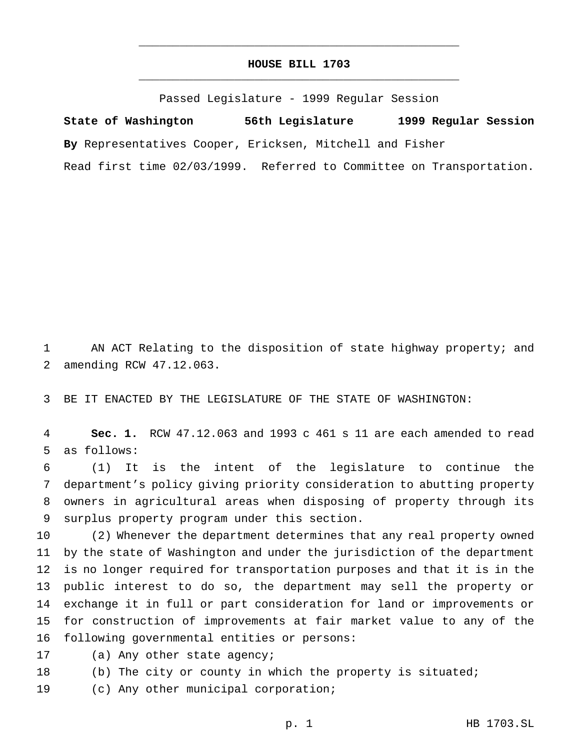## **HOUSE BILL 1703** \_\_\_\_\_\_\_\_\_\_\_\_\_\_\_\_\_\_\_\_\_\_\_\_\_\_\_\_\_\_\_\_\_\_\_\_\_\_\_\_\_\_\_\_\_\_\_

\_\_\_\_\_\_\_\_\_\_\_\_\_\_\_\_\_\_\_\_\_\_\_\_\_\_\_\_\_\_\_\_\_\_\_\_\_\_\_\_\_\_\_\_\_\_\_

Passed Legislature - 1999 Regular Session

**State of Washington 56th Legislature 1999 Regular Session By** Representatives Cooper, Ericksen, Mitchell and Fisher Read first time 02/03/1999. Referred to Committee on Transportation.

 AN ACT Relating to the disposition of state highway property; and amending RCW 47.12.063.

BE IT ENACTED BY THE LEGISLATURE OF THE STATE OF WASHINGTON:

 **Sec. 1.** RCW 47.12.063 and 1993 c 461 s 11 are each amended to read as follows:

 (1) It is the intent of the legislature to continue the department's policy giving priority consideration to abutting property owners in agricultural areas when disposing of property through its surplus property program under this section.

 (2) Whenever the department determines that any real property owned by the state of Washington and under the jurisdiction of the department is no longer required for transportation purposes and that it is in the public interest to do so, the department may sell the property or exchange it in full or part consideration for land or improvements or for construction of improvements at fair market value to any of the following governmental entities or persons:

17 (a) Any other state agency;

(b) The city or county in which the property is situated;

(c) Any other municipal corporation;

p. 1 HB 1703.SL